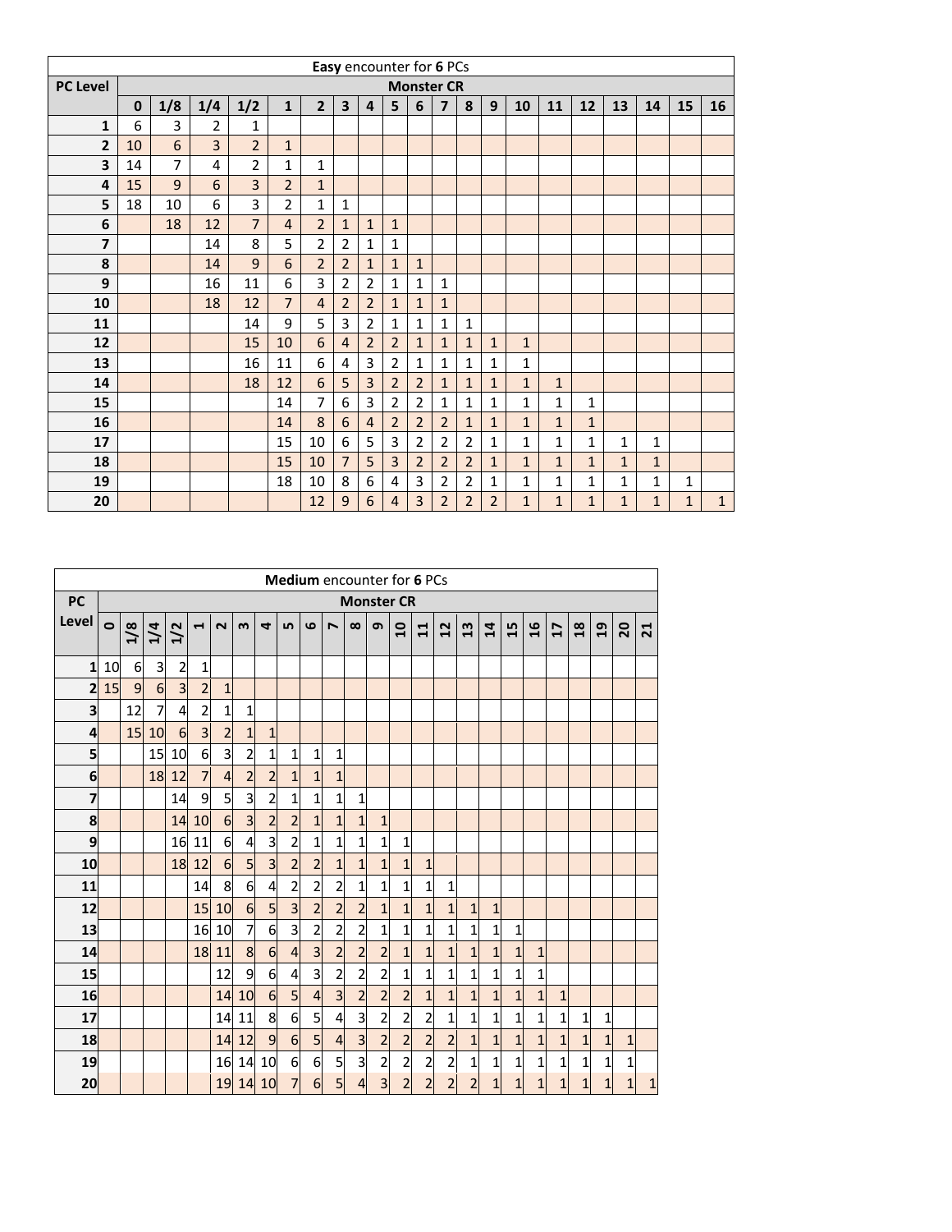|                         | Easy encounter for 6 PCs<br><b>Monster CR</b> |                |                |                |                |                |                         |                |                |                |                |                |                |                |              |              |              |              |              |              |
|-------------------------|-----------------------------------------------|----------------|----------------|----------------|----------------|----------------|-------------------------|----------------|----------------|----------------|----------------|----------------|----------------|----------------|--------------|--------------|--------------|--------------|--------------|--------------|
| <b>PC Level</b>         |                                               |                |                |                |                |                |                         |                |                |                |                |                |                |                |              |              |              |              |              |              |
|                         | $\bf{0}$                                      | 1/8            | 1/4            | 1/2            | $\mathbf{1}$   | $\overline{2}$ | $\overline{\mathbf{3}}$ | 4              | 5              | 6              | $\overline{7}$ | 8              | 9              | 10             | 11           | 12           | 13           | 14           | 15           | 16           |
| $\mathbf{1}$            | 6                                             | 3              | $\overline{2}$ | 1              |                |                |                         |                |                |                |                |                |                |                |              |              |              |              |              |              |
| $\overline{2}$          | 10                                            | 6              | $\overline{3}$ | $\overline{2}$ | $\mathbf{1}$   |                |                         |                |                |                |                |                |                |                |              |              |              |              |              |              |
| 3                       | 14                                            | $\overline{7}$ | 4              | $\overline{2}$ | 1              | $\mathbf{1}$   |                         |                |                |                |                |                |                |                |              |              |              |              |              |              |
| 4                       | 15                                            | 9              | 6              | 3              | $\overline{2}$ | $\mathbf{1}$   |                         |                |                |                |                |                |                |                |              |              |              |              |              |              |
| 5                       | 18                                            | 10             | 6              | 3              | $\overline{2}$ | $\mathbf{1}$   | $\mathbf{1}$            |                |                |                |                |                |                |                |              |              |              |              |              |              |
| $\bf 6$                 |                                               | 18             | 12             | $\overline{7}$ | $\overline{4}$ | $\overline{2}$ | $\mathbf{1}$            | $\mathbf{1}$   | $\mathbf{1}$   |                |                |                |                |                |              |              |              |              |              |              |
| $\overline{\mathbf{z}}$ |                                               |                | 14             | 8              | 5              | $\overline{2}$ | $\overline{2}$          | $\mathbf{1}$   | 1              |                |                |                |                |                |              |              |              |              |              |              |
| 8                       |                                               |                | 14             | 9              | 6              | $\overline{2}$ | $\overline{2}$          | $\mathbf{1}$   | $\mathbf{1}$   | $\mathbf{1}$   |                |                |                |                |              |              |              |              |              |              |
| 9                       |                                               |                | 16             | 11             | 6              | 3              | $\overline{2}$          | $\overline{2}$ | $\mathbf{1}$   | $\mathbf 1$    | $\mathbf{1}$   |                |                |                |              |              |              |              |              |              |
| 10                      |                                               |                | 18             | 12             | $\overline{7}$ | $\overline{4}$ | $\overline{2}$          | $\overline{2}$ | $\mathbf{1}$   | $\mathbf{1}$   | $\mathbf{1}$   |                |                |                |              |              |              |              |              |              |
| 11                      |                                               |                |                | 14             | 9              | 5              | 3                       | $\overline{2}$ | $\mathbf{1}$   | $\mathbf 1$    | $\mathbf{1}$   | $\mathbf 1$    |                |                |              |              |              |              |              |              |
| 12                      |                                               |                |                | 15             | 10             | 6              | $\overline{4}$          | $\overline{2}$ | $\overline{2}$ | $\mathbf{1}$   | $\mathbf{1}$   | $\mathbf{1}$   | $\mathbf{1}$   | $\mathbf{1}$   |              |              |              |              |              |              |
| 13                      |                                               |                |                | 16             | 11             | 6              | 4                       | 3              | $\overline{2}$ | $\mathbf{1}$   | $\mathbf{1}$   | $\mathbf{1}$   | $\mathbf{1}$   | $\mathbf{1}$   |              |              |              |              |              |              |
| 14                      |                                               |                |                | 18             | 12             | 6              | 5                       | 3              | $\overline{2}$ | $\overline{2}$ | $\mathbf{1}$   | $\mathbf{1}$   | $\mathbf{1}$   | $\mathbf{1}$   | $\mathbf{1}$ |              |              |              |              |              |
| 15                      |                                               |                |                |                | 14             | 7              | 6                       | 3              | $\overline{2}$ | $\overline{2}$ | $\mathbf{1}$   | $\mathbf{1}$   | $\mathbf{1}$   | $\mathbf{1}$   | 1            | $\mathbf{1}$ |              |              |              |              |
| 16                      |                                               |                |                |                | 14             | 8              | $6\phantom{1}6$         | $\overline{4}$ | $\overline{2}$ | $\overline{2}$ | $\overline{2}$ | $\mathbf{1}$   | $\mathbf{1}$   | $\overline{1}$ | $\mathbf{1}$ | $\mathbf{1}$ |              |              |              |              |
| 17                      |                                               |                |                |                | 15             | 10             | 6                       | 5              | 3              | 2              | $\overline{2}$ | 2              | 1              | $\mathbf{1}$   | 1            | $\mathbf{1}$ | $\mathbf{1}$ | 1            |              |              |
| 18                      |                                               |                |                |                | 15             | 10             | $\overline{7}$          | 5              | 3              | $\overline{2}$ | $\overline{2}$ | $\overline{2}$ | $\mathbf{1}$   | $\mathbf{1}$   | $\mathbf{1}$ | $\mathbf{1}$ | $\mathbf{1}$ | $\mathbf{1}$ |              |              |
| 19                      |                                               |                |                |                | 18             | 10             | 8                       | 6              | 4              | 3              | $\overline{2}$ | $\overline{2}$ | $\mathbf{1}$   | 1              | $\mathbf{1}$ | $\mathbf{1}$ | 1            | 1            | 1            |              |
| 20                      |                                               |                |                |                |                | 12             | 9                       | 6              | $\overline{4}$ | 3              | $\overline{2}$ | $\overline{2}$ | $\overline{2}$ | $\mathbf{1}$   | $\mathbf{1}$ | $\mathbf{1}$ | $\mathbf{1}$ | $\mathbf{1}$ | $\mathbf{1}$ | $\mathbf{1}$ |

|              |           |     |                 |                |                |                  |                         |                 |                |                |                         |                         | <b>Medium</b> encounter for 6 PCs |                |                         |                |                |                |                |                |                |               |                |                 |              |
|--------------|-----------|-----|-----------------|----------------|----------------|------------------|-------------------------|-----------------|----------------|----------------|-------------------------|-------------------------|-----------------------------------|----------------|-------------------------|----------------|----------------|----------------|----------------|----------------|----------------|---------------|----------------|-----------------|--------------|
| <b>PC</b>    |           |     |                 |                |                |                  |                         |                 |                |                |                         |                         | <b>Monster CR</b>                 |                |                         |                |                |                |                |                |                |               |                |                 |              |
| Level        | $\bullet$ | 1/8 | 1/4             | 1/2            | 1              | $\sim$           | m                       | 4               | LŊ             | ဖ              | $\overline{ }$          | $\infty$                | െ                                 | $\overline{a}$ | ᆸ<br>$\blacksquare$     | 12             | $\frac{3}{2}$  | $\overline{1}$ | 15             | $\mathfrak{a}$ | 17             | $\frac{8}{1}$ | $\overline{a}$ | $\overline{20}$ | 21           |
|              |           |     |                 |                |                |                  |                         |                 |                |                |                         |                         |                                   |                |                         |                |                |                |                |                |                |               |                |                 |              |
| $\mathbf{1}$ | 10        | 6   | 3               | $\overline{c}$ | $\mathbf{1}$   |                  |                         |                 |                |                |                         |                         |                                   |                |                         |                |                |                |                |                |                |               |                |                 |              |
| $\mathbf{z}$ | 15        | 9   | $6\overline{6}$ | 3 <sup>l</sup> | $\overline{2}$ | $\mathbf{1}$     |                         |                 |                |                |                         |                         |                                   |                |                         |                |                |                |                |                |                |               |                |                 |              |
| 3            |           | 12  | 7               | $\overline{a}$ | $\overline{c}$ | 1                | 1                       |                 |                |                |                         |                         |                                   |                |                         |                |                |                |                |                |                |               |                |                 |              |
| 4            |           | 15  | 10              | 6              | $\overline{3}$ | $\overline{a}$   | $\overline{1}$          | $\mathbf{1}$    |                |                |                         |                         |                                   |                |                         |                |                |                |                |                |                |               |                |                 |              |
| 5            |           |     | 15              | 10             | 6              | 3                | $\overline{\mathbf{c}}$ | 1               | 1              | 1              | 1                       |                         |                                   |                |                         |                |                |                |                |                |                |               |                |                 |              |
| 6            |           |     | 18              | 12             | $\overline{7}$ | $\overline{a}$   | $\overline{a}$          | $\overline{2}$  | $\mathbf{1}$   | $\mathbf{1}$   | 1                       |                         |                                   |                |                         |                |                |                |                |                |                |               |                |                 |              |
| 7            |           |     |                 | 14             | 9              | 5                | $\overline{3}$          | $\overline{a}$  | $\mathbf{1}$   | $\mathbf{1}$   | 1                       | $\mathbf{1}$            |                                   |                |                         |                |                |                |                |                |                |               |                |                 |              |
| 8            |           |     |                 | 14             | 10             | $6 \overline{6}$ | $\overline{3}$          | $\overline{a}$  | $\overline{a}$ | $\overline{1}$ | $\mathbf{1}$            | $\overline{1}$          | $\mathbf{1}$                      |                |                         |                |                |                |                |                |                |               |                |                 |              |
| 9            |           |     |                 | <b>16</b>      | 11             | 6                | $\overline{4}$          | 3               | $\overline{c}$ | 1              | 1                       | $\mathbf{1}$            | 1                                 | 1              |                         |                |                |                |                |                |                |               |                |                 |              |
| 10           |           |     |                 | 18             | 12             | $6 \overline{6}$ | 5                       | 3               | $\overline{a}$ | $\overline{c}$ | $\mathbf{1}$            | $\mathbf{1}$            | $\mathbf{1}$                      | 1              | $\mathbf{1}$            |                |                |                |                |                |                |               |                |                 |              |
| 11           |           |     |                 |                | 14             | 8                | 6                       | $\overline{4}$  | 2              | 2              | 2                       | 1                       | $\mathbf{1}$                      | 1              | $\mathbf{1}$            | 1              |                |                |                |                |                |               |                |                 |              |
| 12           |           |     |                 |                | 15             | 10               | 6                       | 5               | 3              | $\overline{c}$ | $\overline{2}$          | $\overline{2}$          | $\mathbf{1}$                      | 1              | $\overline{1}$          | $\mathbf{1}$   | 1              | $\mathbf{1}$   |                |                |                |               |                |                 |              |
| 13           |           |     |                 |                | 16             | 10               | $\overline{7}$          | 6               | 3              | $\overline{a}$ | $\overline{2}$          | $\overline{\mathbf{c}}$ | $\mathbf{1}$                      | 1              | $\mathbf{1}$            | $\mathbf{1}$   | $\mathbf{1}$   | 1              | 1              |                |                |               |                |                 |              |
| 14           |           |     |                 |                | 18             | 11               | 8                       | $6\overline{6}$ | $\overline{4}$ | $\overline{3}$ | $\overline{2}$          | $\overline{2}$          | $\overline{2}$                    | $\overline{1}$ | $\overline{1}$          | $\mathbf{1}$   | $\overline{1}$ | $\overline{1}$ | $\overline{1}$ | $\mathbf{1}$   |                |               |                |                 |              |
| 15           |           |     |                 |                |                | 12               | 9                       | 6               | $\overline{4}$ | 3              | $\overline{\mathbf{c}}$ | $\overline{\mathbf{c}}$ | $\overline{c}$                    | 1              | $\mathbf{1}$            | 1              | $\mathbf{1}$   | $\overline{1}$ | $\overline{1}$ | $\mathbf{1}$   |                |               |                |                 |              |
| 16           |           |     |                 |                |                | 14               | 10                      | 6               | 5 <sub>l</sub> | $\overline{4}$ | $\overline{\mathbf{3}}$ | $\overline{a}$          | $\overline{c}$                    | $\overline{2}$ | $\overline{1}$          | $\mathbf{1}$   | $\mathbf{1}$   | $\mathbf{1}$   | $\mathbf{1}$   | $\mathbf{1}$   | $\mathbf{1}$   |               |                |                 |              |
| 17           |           |     |                 |                |                | 14               | 11                      | 8               | 6              | 5              | $\overline{4}$          | $\overline{3}$          | $\overline{2}$                    | $\overline{2}$ | $\overline{\mathbf{c}}$ | 1              | $\mathbf 1$    | 1              | 1              | $\mathbf{1}$   | 1              | 1             | 1              |                 |              |
| 18           |           |     |                 |                |                | 14               | 12                      | 9               | 6              | 5              | $\overline{4}$          | $\overline{3}$          | $\overline{a}$                    | $\overline{2}$ | $\overline{a}$          | $\overline{2}$ | $\mathbf{1}$   | $\mathbf{1}$   | $\mathbf{1}$   | $\overline{1}$ | $\overline{1}$ | $\mathbf{1}$  | $\overline{1}$ | $\mathbf{1}$    |              |
| 19           |           |     |                 |                |                | 16               | 14                      | 10              | 6              | 6              | 5                       | $\overline{3}$          | $\overline{a}$                    | $\overline{2}$ | $\overline{a}$          | $\overline{a}$ | $\mathbf{1}$   | $\mathbf{1}$   | 1              | $\mathbf{1}$   | 1              | 1             | 1              | 1               |              |
| 20           |           |     |                 |                |                | 19               | 14                      | 10              | 7              | 6              | 5                       | $\overline{4}$          | $\overline{3}$                    | $\overline{2}$ | $\overline{2}$          | $\overline{2}$ | $\overline{2}$ | $\mathbf{1}$   | $\mathbf{1}$   | $\mathbf{1}$   | $\mathbf{1}$   | $\mathbf{1}$  | 1              | $\mathbf{1}$    | $\mathbf{1}$ |